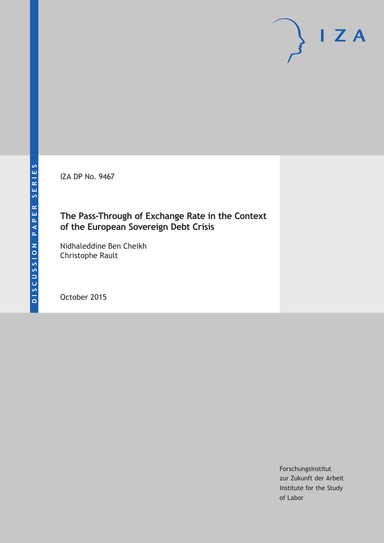**DISCUSSION PAPER SERIES**

DISCUSSION PAPER SERIES

IZA DP No. 9467

# **The Pass-Through of Exchange Rate in the Context of the European Sovereign Debt Crisis**

Nidhaleddine Ben Cheikh Christophe Rault

October 2015

Forschungsinstitut zur Zukunft der Arbeit Institute for the Study of Labor

 $I Z A$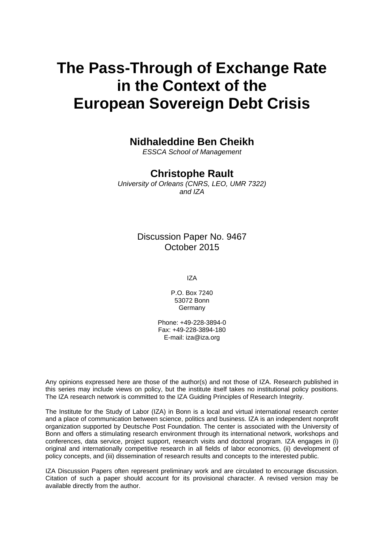# **The Pass-Through of Exchange Rate in the Context of the European Sovereign Debt Crisis**

## **Nidhaleddine Ben Cheikh**

*ESSCA School of Management* 

### **Christophe Rault**

*University of Orleans (CNRS, LEO, UMR 7322) and IZA* 

> Discussion Paper No. 9467 October 2015

> > IZA

P.O. Box 7240 53072 Bonn **Germany** 

Phone: +49-228-3894-0 Fax: +49-228-3894-180 E-mail: iza@iza.org

Any opinions expressed here are those of the author(s) and not those of IZA. Research published in this series may include views on policy, but the institute itself takes no institutional policy positions. The IZA research network is committed to the IZA Guiding Principles of Research Integrity.

The Institute for the Study of Labor (IZA) in Bonn is a local and virtual international research center and a place of communication between science, politics and business. IZA is an independent nonprofit organization supported by Deutsche Post Foundation. The center is associated with the University of Bonn and offers a stimulating research environment through its international network, workshops and conferences, data service, project support, research visits and doctoral program. IZA engages in (i) original and internationally competitive research in all fields of labor economics, (ii) development of policy concepts, and (iii) dissemination of research results and concepts to the interested public.

IZA Discussion Papers often represent preliminary work and are circulated to encourage discussion. Citation of such a paper should account for its provisional character. A revised version may be available directly from the author.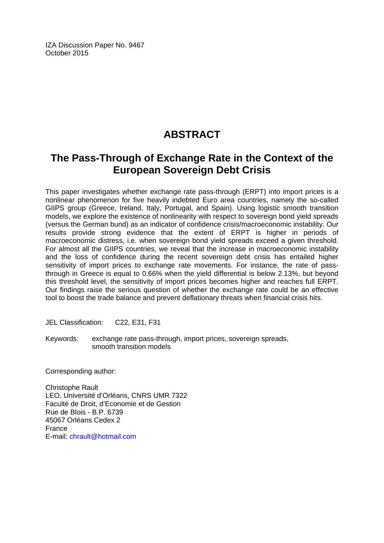IZA Discussion Paper No. 9467 October 2015

# **ABSTRACT**

# **The Pass-Through of Exchange Rate in the Context of the European Sovereign Debt Crisis**

This paper investigates whether exchange rate pass-through (ERPT) into import prices is a nonlinear phenomenon for five heavily indebted Euro area countries, namely the so-called GIIPS group (Greece, Ireland, Italy, Portugal, and Spain). Using logistic smooth transition models, we explore the existence of nonlinearity with respect to sovereign bond yield spreads (versus the German bund) as an indicator of confidence crisis/macroeconomic instability. Our results provide strong evidence that the extent of ERPT is higher in periods of macroeconomic distress, i.e. when sovereign bond yield spreads exceed a given threshold. For almost all the GIIPS countries, we reveal that the increase in macroeconomic instability and the loss of confidence during the recent sovereign debt crisis has entailed higher sensitivity of import prices to exchange rate movements. For instance, the rate of passthrough in Greece is equal to 0.66% when the yield differential is below 2.13%, but beyond this threshold level, the sensitivity of import prices becomes higher and reaches full ERPT. Our findings raise the serious question of whether the exchange rate could be an effective tool to boost the trade balance and prevent deflationary threats when financial crisis hits.

JEL Classification: C22, E31, F31

Keywords: exchange rate pass-through, import prices, sovereign spreads, smooth transition models

Corresponding author:

Christophe Rault LEO, Université d'Orléans, CNRS UMR 7322 Faculté de Droit, d'Economie et de Gestion Rue de Blois - B.P. 6739 45067 Orléans Cedex 2 France E-mail: chrault@hotmail.com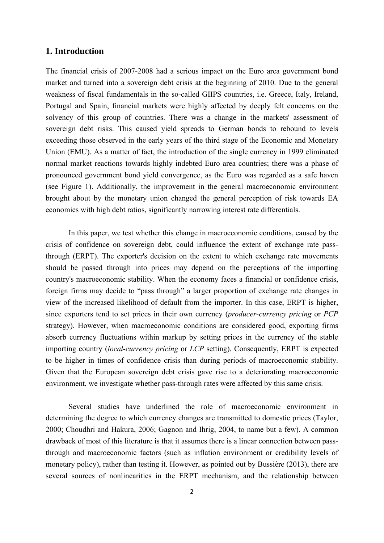### **1. Introduction**

The financial crisis of 2007-2008 had a serious impact on the Euro area government bond market and turned into a sovereign debt crisis at the beginning of 2010. Due to the general weakness of fiscal fundamentals in the so-called GIIPS countries, i.e. Greece, Italy, Ireland, Portugal and Spain, financial markets were highly affected by deeply felt concerns on the solvency of this group of countries. There was a change in the markets' assessment of sovereign debt risks. This caused yield spreads to German bonds to rebound to levels exceeding those observed in the early years of the third stage of the Economic and Monetary Union (EMU). As a matter of fact, the introduction of the single currency in 1999 eliminated normal market reactions towards highly indebted Euro area countries; there was a phase of pronounced government bond yield convergence, as the Euro was regarded as a safe haven (see Figure 1). Additionally, the improvement in the general macroeconomic environment brought about by the monetary union changed the general perception of risk towards EA economies with high debt ratios, significantly narrowing interest rate differentials.

In this paper, we test whether this change in macroeconomic conditions, caused by the crisis of confidence on sovereign debt, could influence the extent of exchange rate passthrough (ERPT). The exporter's decision on the extent to which exchange rate movements should be passed through into prices may depend on the perceptions of the importing country's macroeconomic stability. When the economy faces a financial or confidence crisis, foreign firms may decide to "pass through" a larger proportion of exchange rate changes in view of the increased likelihood of default from the importer. In this case, ERPT is higher, since exporters tend to set prices in their own currency (*producer-currency pricing* or *PCP* strategy). However, when macroeconomic conditions are considered good, exporting firms absorb currency fluctuations within markup by setting prices in the currency of the stable importing country (*local-currency pricing* or *LCP* setting). Consequently, ERPT is expected to be higher in times of confidence crisis than during periods of macroeconomic stability. Given that the European sovereign debt crisis gave rise to a deteriorating macroeconomic environment, we investigate whether pass-through rates were affected by this same crisis.

Several studies have underlined the role of macroeconomic environment in determining the degree to which currency changes are transmitted to domestic prices (Taylor, 2000; Choudhri and Hakura, 2006; Gagnon and Ihrig, 2004, to name but a few). A common drawback of most of this literature is that it assumes there is a linear connection between passthrough and macroeconomic factors (such as inflation environment or credibility levels of monetary policy), rather than testing it. However, as pointed out by Bussière (2013), there are several sources of nonlinearities in the ERPT mechanism, and the relationship between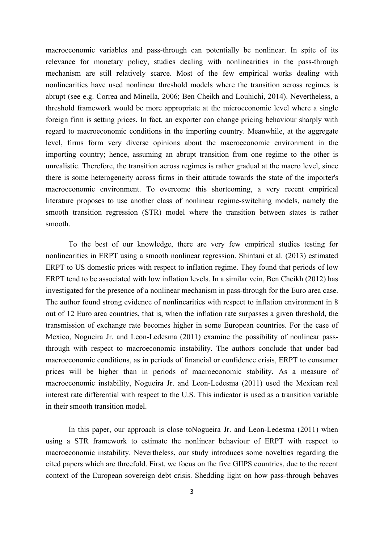macroeconomic variables and pass-through can potentially be nonlinear. In spite of its relevance for monetary policy, studies dealing with nonlinearities in the pass-through mechanism are still relatively scarce. Most of the few empirical works dealing with nonlinearities have used nonlinear threshold models where the transition across regimes is abrupt (see e.g. Correa and Minella, 2006; Ben Cheikh and Louhichi, 2014). Nevertheless, a threshold framework would be more appropriate at the microeconomic level where a single foreign firm is setting prices. In fact, an exporter can change pricing behaviour sharply with regard to macroeconomic conditions in the importing country. Meanwhile, at the aggregate level, firms form very diverse opinions about the macroeconomic environment in the importing country; hence, assuming an abrupt transition from one regime to the other is unrealistic. Therefore, the transition across regimes is rather gradual at the macro level, since there is some heterogeneity across firms in their attitude towards the state of the importer's macroeconomic environment. To overcome this shortcoming, a very recent empirical literature proposes to use another class of nonlinear regime-switching models, namely the smooth transition regression (STR) model where the transition between states is rather smooth.

To the best of our knowledge, there are very few empirical studies testing for nonlinearities in ERPT using a smooth nonlinear regression. Shintani et al. (2013) estimated ERPT to US domestic prices with respect to inflation regime. They found that periods of low ERPT tend to be associated with low inflation levels. In a similar vein, Ben Cheikh (2012) has investigated for the presence of a nonlinear mechanism in pass-through for the Euro area case. The author found strong evidence of nonlinearities with respect to inflation environment in 8 out of 12 Euro area countries, that is, when the inflation rate surpasses a given threshold, the transmission of exchange rate becomes higher in some European countries. For the case of Mexico, Nogueira Jr. and Leon-Ledesma (2011) examine the possibility of nonlinear passthrough with respect to macroeconomic instability. The authors conclude that under bad macroeconomic conditions, as in periods of financial or confidence crisis, ERPT to consumer prices will be higher than in periods of macroeconomic stability. As a measure of macroeconomic instability, Nogueira Jr. and Leon-Ledesma (2011) used the Mexican real interest rate differential with respect to the U.S. This indicator is used as a transition variable in their smooth transition model.

In this paper, our approach is close toNogueira Jr. and Leon-Ledesma (2011) when using a STR framework to estimate the nonlinear behaviour of ERPT with respect to macroeconomic instability. Nevertheless, our study introduces some novelties regarding the cited papers which are threefold. First, we focus on the five GIIPS countries, due to the recent context of the European sovereign debt crisis. Shedding light on how pass-through behaves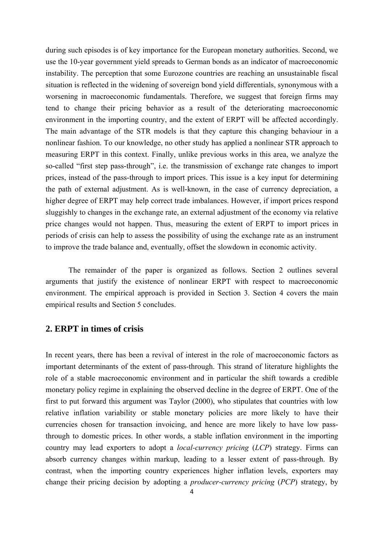during such episodes is of key importance for the European monetary authorities. Second, we use the 10-year government yield spreads to German bonds as an indicator of macroeconomic instability. The perception that some Eurozone countries are reaching an unsustainable fiscal situation is reflected in the widening of sovereign bond yield differentials, synonymous with a worsening in macroeconomic fundamentals. Therefore, we suggest that foreign firms may tend to change their pricing behavior as a result of the deteriorating macroeconomic environment in the importing country, and the extent of ERPT will be affected accordingly. The main advantage of the STR models is that they capture this changing behaviour in a nonlinear fashion. To our knowledge, no other study has applied a nonlinear STR approach to measuring ERPT in this context. Finally, unlike previous works in this area, we analyze the so-called "first step pass-through", i.e. the transmission of exchange rate changes to import prices, instead of the pass-through to import prices. This issue is a key input for determining the path of external adjustment. As is well-known, in the case of currency depreciation, a higher degree of ERPT may help correct trade imbalances. However, if import prices respond sluggishly to changes in the exchange rate, an external adjustment of the economy via relative price changes would not happen. Thus, measuring the extent of ERPT to import prices in periods of crisis can help to assess the possibility of using the exchange rate as an instrument to improve the trade balance and, eventually, offset the slowdown in economic activity.

The remainder of the paper is organized as follows. Section 2 outlines several arguments that justify the existence of nonlinear ERPT with respect to macroeconomic environment. The empirical approach is provided in Section 3. Section 4 covers the main empirical results and Section 5 concludes.

### **2. ERPT in times of crisis**

In recent years, there has been a revival of interest in the role of macroeconomic factors as important determinants of the extent of pass-through. This strand of literature highlights the role of a stable macroeconomic environment and in particular the shift towards a credible monetary policy regime in explaining the observed decline in the degree of ERPT. One of the first to put forward this argument was Taylor (2000), who stipulates that countries with low relative inflation variability or stable monetary policies are more likely to have their currencies chosen for transaction invoicing, and hence are more likely to have low passthrough to domestic prices. In other words, a stable inflation environment in the importing country may lead exporters to adopt a *local-currency pricing* (*LCP*) strategy. Firms can absorb currency changes within markup, leading to a lesser extent of pass-through. By contrast, when the importing country experiences higher inflation levels, exporters may change their pricing decision by adopting a *producer-currency pricing* (*PCP*) strategy, by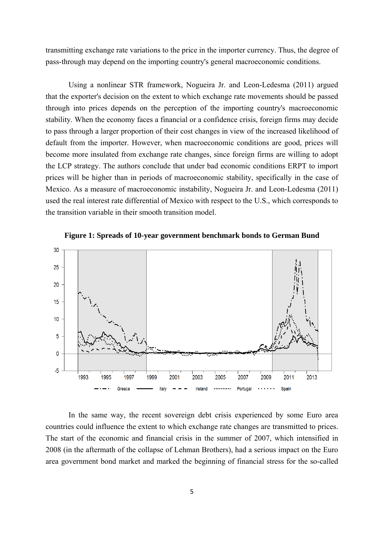transmitting exchange rate variations to the price in the importer currency. Thus, the degree of pass-through may depend on the importing country's general macroeconomic conditions.

Using a nonlinear STR framework, Nogueira Jr. and Leon-Ledesma (2011) argued that the exporter's decision on the extent to which exchange rate movements should be passed through into prices depends on the perception of the importing country's macroeconomic stability. When the economy faces a financial or a confidence crisis, foreign firms may decide to pass through a larger proportion of their cost changes in view of the increased likelihood of default from the importer. However, when macroeconomic conditions are good, prices will become more insulated from exchange rate changes, since foreign firms are willing to adopt the LCP strategy. The authors conclude that under bad economic conditions ERPT to import prices will be higher than in periods of macroeconomic stability, specifically in the case of Mexico. As a measure of macroeconomic instability, Nogueira Jr. and Leon-Ledesma (2011) used the real interest rate differential of Mexico with respect to the U.S., which corresponds to the transition variable in their smooth transition model.



**Figure 1: Spreads of 10-year government benchmark bonds to German Bund** 

In the same way, the recent sovereign debt crisis experienced by some Euro area countries could influence the extent to which exchange rate changes are transmitted to prices. The start of the economic and financial crisis in the summer of 2007, which intensified in 2008 (in the aftermath of the collapse of Lehman Brothers), had a serious impact on the Euro area government bond market and marked the beginning of financial stress for the so-called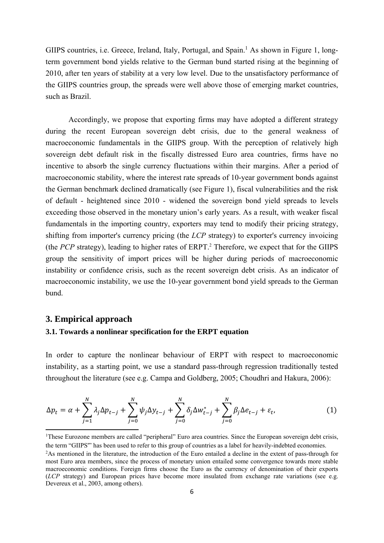GIIPS countries, i.e. Greece, Ireland, Italy, Portugal, and Spain.<sup>1</sup> As shown in Figure 1, longterm government bond yields relative to the German bund started rising at the beginning of 2010, after ten years of stability at a very low level. Due to the unsatisfactory performance of the GIIPS countries group, the spreads were well above those of emerging market countries, such as Brazil.

Accordingly, we propose that exporting firms may have adopted a different strategy during the recent European sovereign debt crisis, due to the general weakness of macroeconomic fundamentals in the GIIPS group. With the perception of relatively high sovereign debt default risk in the fiscally distressed Euro area countries, firms have no incentive to absorb the single currency fluctuations within their margins. After a period of macroeconomic stability, where the interest rate spreads of 10-year government bonds against the German benchmark declined dramatically (see Figure 1), fiscal vulnerabilities and the risk of default - heightened since 2010 - widened the sovereign bond yield spreads to levels exceeding those observed in the monetary union's early years. As a result, with weaker fiscal fundamentals in the importing country, exporters may tend to modify their pricing strategy, shifting from importer's currency pricing (the *LCP* strategy) to exporter's currency invoicing (the *PCP* strategy), leading to higher rates of ERPT.<sup>2</sup> Therefore, we expect that for the GIIPS group the sensitivity of import prices will be higher during periods of macroeconomic instability or confidence crisis, such as the recent sovereign debt crisis. As an indicator of macroeconomic instability, we use the 10-year government bond yield spreads to the German bund.

#### **3. Empirical approach**

#### **3.1. Towards a nonlinear specification for the ERPT equation**

In order to capture the nonlinear behaviour of ERPT with respect to macroeconomic instability, as a starting point, we use a standard pass-through regression traditionally tested throughout the literature (see e.g. Campa and Goldberg, 2005; Choudhri and Hakura, 2006):

$$
\Delta p_t = \alpha + \sum_{j=1}^N \lambda_j \Delta p_{t-j} + \sum_{j=0}^N \psi_j \Delta y_{t-j} + \sum_{j=0}^N \delta_j \Delta w_{t-j}^* + \sum_{j=0}^N \beta_j \Delta e_{t-j} + \varepsilon_t,
$$
\n(1)

<sup>1</sup> These Eurozone members are called "peripheral" Euro area countries. Since the European sovereign debt crisis, the term "GIIPS'" has been used to refer to this group of countries as a label for heavily-indebted economies.

<sup>2</sup> As mentioned in the literature, the introduction of the Euro entailed a decline in the extent of pass-through for most Euro area members, since the process of monetary union entailed some convergence towards more stable macroeconomic conditions. Foreign firms choose the Euro as the currency of denomination of their exports (*LCP* strategy) and European prices have become more insulated from exchange rate variations (see e.g. Devereux et al., 2003, among others).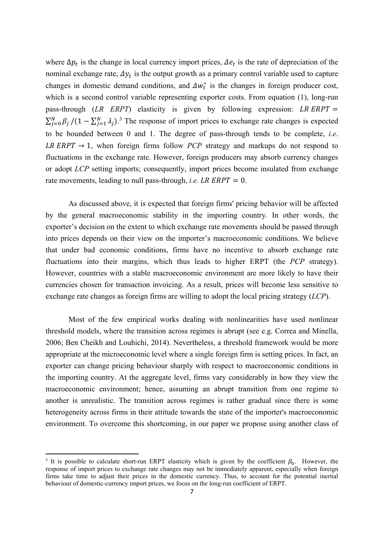where  $\Delta p_t$  is the change in local currency import prices,  $\Delta e_t$  is the rate of depreciation of the nominal exchange rate,  $\Delta y_t$  is the output growth as a primary control variable used to capture changes in domestic demand conditions, and  $\Delta w_t^*$  is the changes in foreign producer cost, which is a second control variable representing exporter costs. From equation (1), long-run pass-through  $(LR \ E RPT)$  elasticity is given by following expression: LR ERPT =  $\sum_{j=0}^{N} \beta_j / (1 - \sum_{j=1}^{N} \lambda_j)^3$  The response of import prices to exchange rate changes is expected to be bounded between 0 and 1. The degree of pass-through tends to be complete, *i.e*. LR ERPT  $\rightarrow$  1, when foreign firms follow *PCP* strategy and markups do not respond to fluctuations in the exchange rate. However, foreign producers may absorb currency changes or adopt *LCP* setting imports; consequently, import prices become insulated from exchange rate movements, leading to null pass-through, *i.e.* LR  $ERPT = 0$ .

 As discussed above, it is expected that foreign firms' pricing behavior will be affected by the general macroeconomic stability in the importing country. In other words, the exporter's decision on the extent to which exchange rate movements should be passed through into prices depends on their view on the importer's macroeconomic conditions. We believe that under bad economic conditions, firms have no incentive to absorb exchange rate fluctuations into their margins, which thus leads to higher ERPT (the *PCP* strategy). However, countries with a stable macroeconomic environment are more likely to have their currencies chosen for transaction invoicing. As a result, prices will become less sensitive to exchange rate changes as foreign firms are willing to adopt the local pricing strategy (*LCP*).

 Most of the few empirical works dealing with nonlinearities have used nonlinear threshold models, where the transition across regimes is abrupt (see e.g. Correa and Minella, 2006; Ben Cheikh and Louhichi, 2014). Nevertheless, a threshold framework would be more appropriate at the microeconomic level where a single foreign firm is setting prices. In fact, an exporter can change pricing behaviour sharply with respect to macroeconomic conditions in the importing country. At the aggregate level, firms vary considerably in how they view the macroeconomic environment; hence, assuming an abrupt transition from one regime to another is unrealistic. The transition across regimes is rather gradual since there is some heterogeneity across firms in their attitude towards the state of the importer's macroeconomic environment. To overcome this shortcoming, in our paper we propose using another class of

<sup>&</sup>lt;sup>3</sup> It is possible to calculate short-run ERPT elasticity which is given by the coefficient  $\beta_0$ . However, the response of import prices to exchange rate changes may not be immediately apparent, especially when foreign firms take time to adjust their prices in the domestic currency. Thus, to account for the potential inertial behaviour of domestic-currency import prices, we focus on the long-run coefficient of ERPT.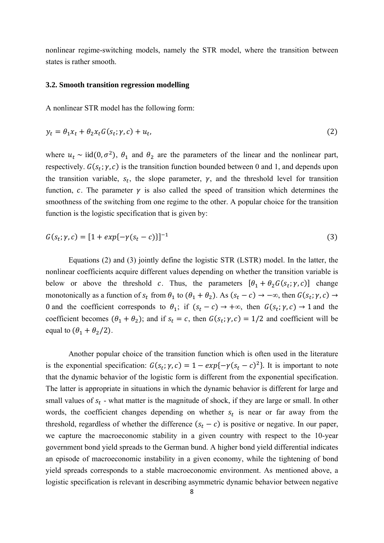nonlinear regime-switching models, namely the STR model, where the transition between states is rather smooth.

#### **3.2. Smooth transition regression modelling**

A nonlinear STR model has the following form:

$$
y_t = \theta_1 x_t + \theta_2 x_t G(s_t; \gamma, c) + u_t, \tag{2}
$$

where  $u_t \sim \text{iid}(0, \sigma^2)$ ,  $\theta_1$  and  $\theta_2$  are the parameters of the linear and the nonlinear part, respectively.  $G(s_t; \gamma, c)$  is the transition function bounded between 0 and 1, and depends upon the transition variable,  $s_t$ , the slope parameter,  $\gamma$ , and the threshold level for transition function, c. The parameter  $\gamma$  is also called the speed of transition which determines the smoothness of the switching from one regime to the other. A popular choice for the transition function is the logistic specification that is given by:

$$
G(s_t; \gamma, c) = [1 + exp{-\gamma(s_t - c)}]^{-1}
$$
\n(3)

Equations (2) and (3) jointly define the logistic STR (LSTR) model. In the latter, the nonlinear coefficients acquire different values depending on whether the transition variable is below or above the threshold c. Thus, the parameters  $[\theta_1 + \theta_2 G(s_t; \gamma, c)]$  change monotonically as a function of  $s_t$  from  $\theta_1$  to  $(\theta_1 + \theta_2)$ . As  $(s_t - c) \rightarrow -\infty$ , then  $G(s_t; \gamma, c) \rightarrow$ 0 and the coefficient corresponds to  $\theta_1$ ; if  $(s_t - c) \rightarrow +\infty$ , then  $G(s_t; \gamma, c) \rightarrow 1$  and the coefficient becomes  $(\theta_1 + \theta_2)$ ; and if  $s_t = c$ , then  $G(s_t; \gamma, c) = 1/2$  and coefficient will be equal to  $(\theta_1 + \theta_2/2)$ .

Another popular choice of the transition function which is often used in the literature is the exponential specification:  $G(s_t; \gamma, c) = 1 - exp{-\gamma(s_t - c)^2}$ . It is important to note that the dynamic behavior of the logistic form is different from the exponential specification. The latter is appropriate in situations in which the dynamic behavior is different for large and small values of  $s_t$  - what matter is the magnitude of shock, if they are large or small. In other words, the coefficient changes depending on whether  $s_t$  is near or far away from the threshold, regardless of whether the difference  $(s_t - c)$  is positive or negative. In our paper, we capture the macroeconomic stability in a given country with respect to the 10-year government bond yield spreads to the German bund. A higher bond yield differential indicates an episode of macroeconomic instability in a given economy, while the tightening of bond yield spreads corresponds to a stable macroeconomic environment. As mentioned above, a logistic specification is relevant in describing asymmetric dynamic behavior between negative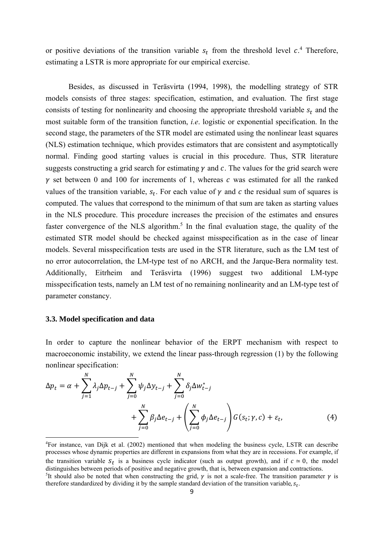or positive deviations of the transition variable  $s_t$  from the threshold level  $c^4$ . Therefore, estimating a LSTR is more appropriate for our empirical exercise.

Besides, as discussed in Teräsvirta (1994, 1998), the modelling strategy of STR models consists of three stages: specification, estimation, and evaluation. The first stage consists of testing for nonlinearity and choosing the appropriate threshold variable  $s_t$  and the most suitable form of the transition function, *i.e*. logistic or exponential specification. In the second stage, the parameters of the STR model are estimated using the nonlinear least squares (NLS) estimation technique, which provides estimators that are consistent and asymptotically normal. Finding good starting values is crucial in this procedure. Thus, STR literature suggests constructing a grid search for estimating  $\gamma$  and  $\epsilon$ . The values for the grid search were  $\gamma$  set between 0 and 100 for increments of 1, whereas  $\alpha$  was estimated for all the ranked values of the transition variable,  $s_t$ . For each value of  $\gamma$  and  $c$  the residual sum of squares is computed. The values that correspond to the minimum of that sum are taken as starting values in the NLS procedure. This procedure increases the precision of the estimates and ensures faster convergence of the NLS algorithm.<sup>5</sup> In the final evaluation stage, the quality of the estimated STR model should be checked against misspecification as in the case of linear models. Several misspecification tests are used in the STR literature, such as the LM test of no error autocorrelation, the LM-type test of no ARCH, and the Jarque-Bera normality test. Additionally, Eitrheim and Teräsvirta (1996) suggest two additional LM-type misspecification tests, namely an LM test of no remaining nonlinearity and an LM-type test of parameter constancy.

#### **3.3. Model specification and data**

In order to capture the nonlinear behavior of the ERPT mechanism with respect to macroeconomic instability, we extend the linear pass-through regression (1) by the following nonlinear specification:

$$
\Delta p_t = \alpha + \sum_{j=1}^N \lambda_j \Delta p_{t-j} + \sum_{j=0}^N \psi_j \Delta y_{t-j} + \sum_{j=0}^N \delta_j \Delta w_{t-j}^*
$$
  
+ 
$$
\sum_{j=0}^N \beta_j \Delta e_{t-j} + \left(\sum_{j=0}^N \phi_j \Delta e_{t-j}\right) G(s_t; \gamma, c) + \varepsilon_t,
$$
(4)

<sup>4</sup> For instance, van Dijk et al. (2002) mentioned that when modeling the business cycle, LSTR can describe processes whose dynamic properties are different in expansions from what they are in recessions. For example, if the transition variable  $S_t$  is a business cycle indicator (such as output growth), and if  $c \approx 0$ , the model distinguishes between periods of positive and negative growth, that is, between expansion and contractions. <sup>5</sup>It should also be noted that when constructing the grid,  $\gamma$  is not a scale-free. The transition parameter  $\gamma$  is therefore standardized by dividing it by the sample standard deviation of the transition variable,  $s_t$ .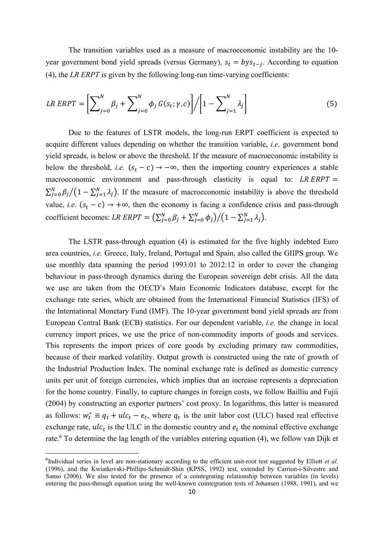The transition variables used as a measure of macroeconomic instability are the 10 year government bond yield spreads (versus Germany),  $s_t = bys_{t-i}$ . According to equation (4), the *LR ERPT* is given by the following long-run time-varying coefficients:

$$
LR \ ERPT = \left[\sum_{j=0}^{N} \beta_j + \sum_{j=0}^{N} \phi_j G(s_t; \gamma, c)\right] / \left[1 - \sum_{j=1}^{N} \lambda_j\right]
$$
 (5)

Due to the features of LSTR models, the long-run ERPT coefficient is expected to acquire different values depending on whether the transition variable, *i.e.* government bond yield spreads, is below or above the threshold. If the measure of macroeconomic instability is below the threshold, *i.e.*  $(s_t - c) \rightarrow -\infty$ , then the importing country experiences a stable macroeconomic environment and pass-through elasticity is equal to:  $LR$   $ERPT$  =  $\sum_{j=0}^{N} \beta_j/(1-\sum_{j=1}^{N} \lambda_j)$ . If the measure of macroeconomic instability is above the threshold value, *i.e.*  $(s_t - c) \rightarrow +\infty$ , then the economy is facing a confidence crisis and pass-through coefficient becomes: LR ERPT =  $(\sum_{j=0}^{N} \beta_j + \sum_{j=0}^{N} \phi_j)/(1 - \sum_{j=1}^{N} \lambda_j)$ .

The LSTR pass-through equation (4) is estimated for the five highly indebted Euro area countries, *i.e.* Greece, Italy, Ireland, Portugal and Spain, also called the GIIPS group. We use monthly data spanning the period 1993:01 to 2012:12 in order to cover the changing behaviour in pass-through dynamics during the European sovereign debt crisis. All the data we use are taken from the OECD's Main Economic Indicators database, except for the exchange rate series, which are obtained from the International Financial Statistics (IFS) of the International Monetary Fund (IMF). The 10-year government bond yield spreads are from European Central Bank (ECB) statistics. For our dependent variable, *i.e.* the change in local currency import prices, we use the price of non-commodity imports of goods and services. This represents the import prices of core goods by excluding primary raw commodities, because of their marked volatility. Output growth is constructed using the rate of growth of the Industrial Production Index. The nominal exchange rate is defined as domestic currency units per unit of foreign currencies, which implies that an increase represents a depreciation for the home country. Finally, to capture changes in foreign costs, we follow Bailliu and Fujii (2004) by constructing an exporter partners' cost proxy. In logarithms, this latter is measured as follows:  $w_t^* \equiv q_t + u c_t - e_t$ , where  $q_t$  is the unit labor cost (ULC) based real effective exchange rate,  $ulc_t$  is the ULC in the domestic country and  $e_t$  the nominal effective exchange rate.<sup>6</sup> To determine the lag length of the variables entering equation (4), we follow van Dijk et

<sup>6</sup> Individual series in level are non-stationary according to the efficient unit-root test suggested by Elliott *et al*. (1996), and the Kwiatkovski-Phillips-Schmidt-Shin (KPSS, 1992) test, extended by Carrion-i-Silvestre and Sanso (2006). We also tested for the presence of a cointegrating relationship between variables (in levels) entering the pass-through equation using the well-known cointegration tests of Johansen (1988, 1991), and we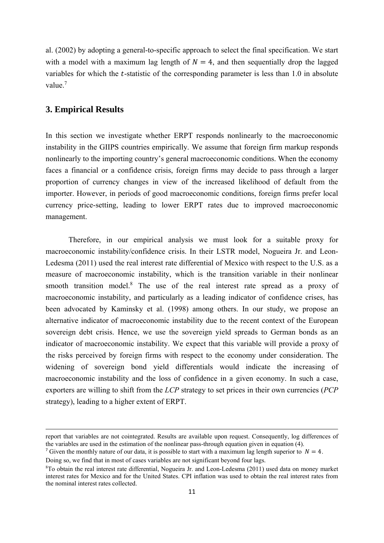al. (2002) by adopting a general-to-specific approach to select the final specification. We start with a model with a maximum lag length of  $N = 4$ , and then sequentially drop the lagged variables for which the  $t$ -statistic of the corresponding parameter is less than 1.0 in absolute value.<sup>7</sup>

### **3. Empirical Results**

In this section we investigate whether ERPT responds nonlinearly to the macroeconomic instability in the GIIPS countries empirically. We assume that foreign firm markup responds nonlinearly to the importing country's general macroeconomic conditions. When the economy faces a financial or a confidence crisis, foreign firms may decide to pass through a larger proportion of currency changes in view of the increased likelihood of default from the importer. However, in periods of good macroeconomic conditions, foreign firms prefer local currency price-setting, leading to lower ERPT rates due to improved macroeconomic management.

Therefore, in our empirical analysis we must look for a suitable proxy for macroeconomic instability/confidence crisis. In their LSTR model, Nogueira Jr. and Leon-Ledesma (2011) used the real interest rate differential of Mexico with respect to the U.S. as a measure of macroeconomic instability, which is the transition variable in their nonlinear smooth transition model.<sup>8</sup> The use of the real interest rate spread as a proxy of macroeconomic instability, and particularly as a leading indicator of confidence crises, has been advocated by Kaminsky et al. (1998) among others. In our study, we propose an alternative indicator of macroeconomic instability due to the recent context of the European sovereign debt crisis. Hence, we use the sovereign yield spreads to German bonds as an indicator of macroeconomic instability. We expect that this variable will provide a proxy of the risks perceived by foreign firms with respect to the economy under consideration. The widening of sovereign bond yield differentials would indicate the increasing of macroeconomic instability and the loss of confidence in a given economy. In such a case, exporters are willing to shift from the *LCP* strategy to set prices in their own currencies (*PCP* strategy), leading to a higher extent of ERPT.

<sup>&</sup>lt;u> 1989 - Johann Barbert Barbert Barbert Barbert Barbert Barbert Barbert Barbert Barbert Barbert Barbert Barbert</u> report that variables are not cointegrated. Results are available upon request. Consequently, log differences of the variables are used in the estimation of the nonlinear pass-through equation given in equation (4).

<sup>&</sup>lt;sup>7</sup> Given the monthly nature of our data, it is possible to start with a maximum lag length superior to  $N = 4$ . Doing so, we find that in most of cases variables are not significant beyond four lags.

<sup>8</sup> To obtain the real interest rate differential, Nogueira Jr. and Leon-Ledesma (2011) used data on money market interest rates for Mexico and for the United States. CPI inflation was used to obtain the real interest rates from the nominal interest rates collected.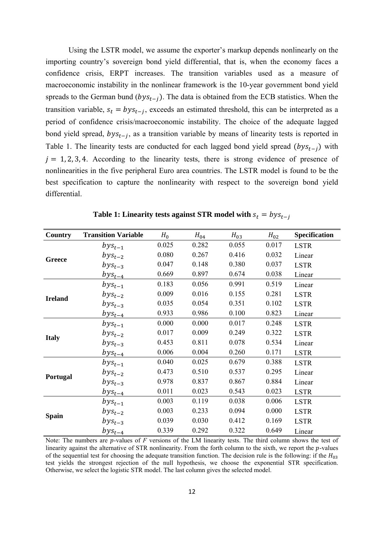Using the LSTR model, we assume the exporter's markup depends nonlinearly on the importing country's sovereign bond yield differential, that is, when the economy faces a confidence crisis, ERPT increases. The transition variables used as a measure of macroeconomic instability in the nonlinear framework is the 10-year government bond yield spreads to the German bund  $(bys_{t-i})$ . The data is obtained from the ECB statistics. When the transition variable,  $s_t = bys_{t-i}$ , exceeds an estimated threshold, this can be interpreted as a period of confidence crisis/macroeconomic instability. The choice of the adequate lagged bond yield spread,  $bys_{t-i}$ , as a transition variable by means of linearity tests is reported in Table 1. The linearity tests are conducted for each lagged bond yield spread  $(bys_{t-i})$  with  $j = 1, 2, 3, 4$ . According to the linearity tests, there is strong evidence of presence of nonlinearities in the five peripheral Euro area countries. The LSTR model is found to be the best specification to capture the nonlinearity with respect to the sovereign bond yield differential.

| Country        | <b>Transition Variable</b> | $H_0$ | $H_{04}$ | $H_{03}$ | $H_{02}$ | Specification |
|----------------|----------------------------|-------|----------|----------|----------|---------------|
|                | $bys_{t-1}$                | 0.025 | 0.282    | 0.055    | 0.017    | <b>LSTR</b>   |
| <b>Greece</b>  | $bys_{t-2}$                | 0.080 | 0.267    | 0.416    | 0.032    | Linear        |
|                | $bys_{t-3}$                | 0.047 | 0.148    | 0.380    | 0.037    | <b>LSTR</b>   |
|                | $bys_{t-4}$                | 0.669 | 0.897    | 0.674    | 0.038    | Linear        |
| <b>Ireland</b> | $bys_{t-1}$                | 0.183 | 0.056    | 0.991    | 0.519    | Linear        |
|                | $bys_{t-2}$                | 0.009 | 0.016    | 0.155    | 0.281    | <b>LSTR</b>   |
|                | $bys_{t-3}$                | 0.035 | 0.054    | 0.351    | 0.102    | <b>LSTR</b>   |
|                | $bys_{t-4}$                | 0.933 | 0.986    | 0.100    | 0.823    | Linear        |
| <b>Italy</b>   | $bys_{t-1}$                | 0.000 | 0.000    | 0.017    | 0.248    | <b>LSTR</b>   |
|                | $bys_{t-2}$                | 0.017 | 0.009    | 0.249    | 0.322    | <b>LSTR</b>   |
|                | $bys_{t-3}$                | 0.453 | 0.811    | 0.078    | 0.534    | Linear        |
|                | $bys_{t-4}$                | 0.006 | 0.004    | 0.260    | 0.171    | <b>LSTR</b>   |
|                | $bys_{t-1}$                | 0.040 | 0.025    | 0.679    | 0.388    | <b>LSTR</b>   |
|                | $bys_{t-2}$                | 0.473 | 0.510    | 0.537    | 0.295    | Linear        |
| Portugal       | $bys_{t-3}$                | 0.978 | 0.837    | 0.867    | 0.884    | Linear        |
|                | $bys_{t-4}$                | 0.011 | 0.023    | 0.543    | 0.023    | <b>LSTR</b>   |
|                | $bys_{t-1}$                | 0.003 | 0.119    | 0.038    | 0.006    | <b>LSTR</b>   |
|                | $bys_{t-2}$                | 0.003 | 0.233    | 0.094    | 0.000    | <b>LSTR</b>   |
| <b>Spain</b>   | $bys_{t-3}$                | 0.039 | 0.030    | 0.412    | 0.169    | <b>LSTR</b>   |
|                | $bys_{t-4}$                | 0.339 | 0.292    | 0.322    | 0.649    | Linear        |

**Table 1: Linearity tests against STR model with**  $s_t = bys_{t-i}$ 

Note: The numbers are *p*-values of *F* versions of the LM linearity tests. The third column shows the test of linearity against the alternative of STR nonlinearity. From the forth column to the sixth, we report the  $p$ -values of the sequential test for choosing the adequate transition function. The decision rule is the following: if the  $H_{03}$ test yields the strongest rejection of the null hypothesis, we choose the exponential STR specification. Otherwise, we select the logistic STR model. The last column gives the selected model.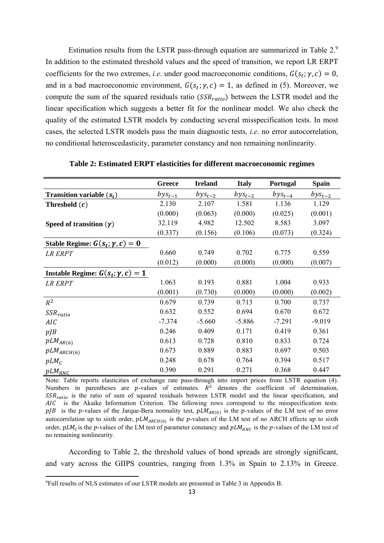Estimation results from the LSTR pass-through equation are summarized in Table 2.<sup>9</sup> In addition to the estimated threshold values and the speed of transition, we report LR ERPT coefficients for the two extremes, *i.e.* under good macroeconomic conditions,  $G(s_t; \gamma, c) = 0$ , and in a bad macroeconomic environment,  $G(s_t; \gamma, c) = 1$ , as defined in (5). Moreover, we compute the sum of the squared residuals ratio  $(SSR_{ratio})$  between the LSTR model and the linear specification which suggests a better fit for the nonlinear model. We also check the quality of the estimated LSTR models by conducting several misspecification tests. In most cases, the selected LSTR models pass the main diagnostic tests, *i.e.* no error autocorrelation, no conditional heteroscedasticity, parameter constancy and non remaining nonlinearity.

|                                                 | Greece      | <b>Ireland</b> | <b>Italy</b> | Portugal    | <b>Spain</b> |
|-------------------------------------------------|-------------|----------------|--------------|-------------|--------------|
| <b>Transition variable</b> $(s_t)$              | $bys_{t-1}$ | $bys_{t-2}$    | $bys_{t-2}$  | $bys_{t-4}$ | $bys_{t-2}$  |
| Threshold $(c)$                                 | 2.130       | 2.107          | 1.581        | 1.136       | 1.129        |
|                                                 | (0.000)     | (0.063)        | (0.000)      | (0.025)     | (0.001)      |
| Speed of transition $(\gamma)$                  | 32.119      | 4.982          | 12.502       | 8.583       | 3.097        |
|                                                 | (0.337)     | (0.156)        | (0.106)      | (0.073)     | (0.324)      |
| Stable Regime: $G(s_t; \gamma, c) = 0$          |             |                |              |             |              |
| <b>LR ERPT</b>                                  | 0.660       | 0.749          | 0.702        | 0.775       | 0.559        |
|                                                 | (0.012)     | (0.000)        | (0.000)      | (0.000)     | (0.007)      |
| <b>Instable Regime:</b> $G(s_t; \gamma, c) = 1$ |             |                |              |             |              |
| LR ERPT                                         | 1.063       | 0.193          | 0.881        | 1.004       | 0.933        |
|                                                 | (0.001)     | (0.730)        | (0.000)      | (0.000)     | (0.002)      |
| $R^2$                                           | 0.679       | 0.739          | 0.713        | 0.700       | 0.737        |
| $SSR_{ratio}$                                   | 0.632       | 0.552          | 0.694        | 0.670       | 0.672        |
| AIC                                             | $-7.374$    | $-5.660$       | $-5.886$     | $-7.291$    | $-9.019$     |
| $p$ <i>JB</i>                                   | 0.246       | 0.409          | 0.171        | 0.419       | 0.361        |
| $pLM_{AR(6)}$                                   | 0.613       | 0.728          | 0.810        | 0.833       | 0.724        |
| $pLM_{ARCH(6)}$                                 | 0.673       | 0.889          | 0.883        | 0.697       | 0.503        |
| $pLM_C$                                         | 0.248       | 0.678          | 0.764        | 0.394       | 0.517        |
| $pLM_{RNC}$                                     | 0.390       | 0.291          | 0.271        | 0.368       | 0.447        |

**Table 2: Estimated ERPT elasticities for different macroeconomic regimes** 

Note: Table reports elasticities of exchange rate pass-through into import prices from LSTR equation (4). Numbers in parentheses are  $p$ -values of estimates.  $R<sup>2</sup>$  denotes the coefficient of determination,  $SSR_{ratio}$  is the ratio of sum of squared residuals between LSTR model and the linear specification, and AIC is the Akaike Information Criterion. The following rows correspond to the misspecification tests:  $p/B$  is the p-values of the Jarque-Bera normality test,  $pLM_{AR(6)}$  is the p-values of the LM test of no error autocorrelation up to sixth order,  $pLM_{ARCH(6)}$  is the p-values of the LM test of no ARCH effects up to sixth order,  $pLM<sub>C</sub>$  is the p-values of the LM test of parameter constancy and  $pLM<sub>RNC</sub>$  is the p-values of the LM test of no remaining nonlinearity.

According to Table 2, the threshold values of bond spreads are strongly significant, and vary across the GIIPS countries, ranging from 1.3% in Spain to 2.13% in Greece.

<sup>9</sup> Full results of NLS estimates of our LSTR models are presented in Table 3 in Appendix B.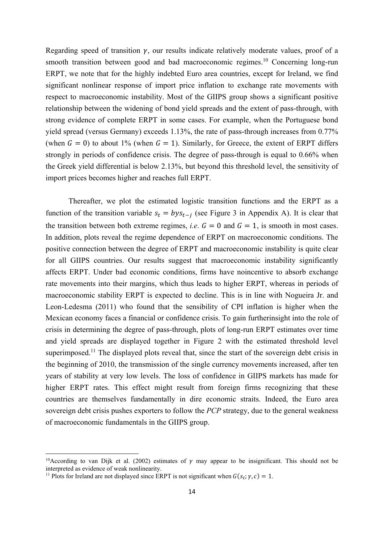Regarding speed of transition  $\gamma$ , our results indicate relatively moderate values, proof of a smooth transition between good and bad macroeconomic regimes.<sup>10</sup> Concerning long-run ERPT, we note that for the highly indebted Euro area countries, except for Ireland, we find significant nonlinear response of import price inflation to exchange rate movements with respect to macroeconomic instability. Most of the GIIPS group shows a significant positive relationship between the widening of bond yield spreads and the extent of pass-through, with strong evidence of complete ERPT in some cases. For example, when the Portuguese bond yield spread (versus Germany) exceeds 1.13%, the rate of pass-through increases from 0.77% (when  $G = 0$ ) to about 1% (when  $G = 1$ ). Similarly, for Greece, the extent of ERPT differs strongly in periods of confidence crisis. The degree of pass-through is equal to 0.66% when the Greek yield differential is below 2.13%, but beyond this threshold level, the sensitivity of import prices becomes higher and reaches full ERPT.

Thereafter, we plot the estimated logistic transition functions and the ERPT as a function of the transition variable  $s_t = bys_{t-i}$  (see Figure 3 in Appendix A). It is clear that the transition between both extreme regimes, *i.e.*  $G = 0$  and  $G = 1$ , is smooth in most cases. In addition, plots reveal the regime dependence of ERPT on macroeconomic conditions. The positive connection between the degree of ERPT and macroeconomic instability is quite clear for all GIIPS countries. Our results suggest that macroeconomic instability significantly affects ERPT. Under bad economic conditions, firms have noincentive to absorb exchange rate movements into their margins, which thus leads to higher ERPT, whereas in periods of macroeconomic stability ERPT is expected to decline. This is in line with Nogueira Jr. and Leon-Ledesma (2011) who found that the sensibility of CPI inflation is higher when the Mexican economy faces a financial or confidence crisis. To gain furtherinsight into the role of crisis in determining the degree of pass-through, plots of long-run ERPT estimates over time and yield spreads are displayed together in Figure 2 with the estimated threshold level superimposed.<sup>11</sup> The displayed plots reveal that, since the start of the sovereign debt crisis in the beginning of 2010, the transmission of the single currency movements increased, after ten years of stability at very low levels. The loss of confidence in GIIPS markets has made for higher ERPT rates. This effect might result from foreign firms recognizing that these countries are themselves fundamentally in dire economic straits. Indeed, the Euro area sovereign debt crisis pushes exporters to follow the *PCP* strategy, due to the general weakness of macroeconomic fundamentals in the GIIPS group.

<sup>&</sup>lt;sup>10</sup>According to van Dijk et al. (2002) estimates of  $\gamma$  may appear to be insignificant. This should not be interpreted as evidence of weak nonlinearity.

<sup>&</sup>lt;sup>11</sup> Plots for Ireland are not displayed since ERPT is not significant when  $G(s_t; \gamma, c) = 1$ .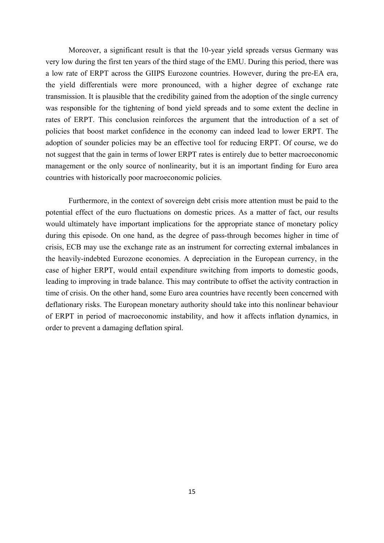Moreover, a significant result is that the 10-year yield spreads versus Germany was very low during the first ten years of the third stage of the EMU. During this period, there was a low rate of ERPT across the GIIPS Eurozone countries. However, during the pre-EA era, the yield differentials were more pronounced, with a higher degree of exchange rate transmission. It is plausible that the credibility gained from the adoption of the single currency was responsible for the tightening of bond yield spreads and to some extent the decline in rates of ERPT. This conclusion reinforces the argument that the introduction of a set of policies that boost market confidence in the economy can indeed lead to lower ERPT. The adoption of sounder policies may be an effective tool for reducing ERPT. Of course, we do not suggest that the gain in terms of lower ERPT rates is entirely due to better macroeconomic management or the only source of nonlinearity, but it is an important finding for Euro area countries with historically poor macroeconomic policies.

Furthermore, in the context of sovereign debt crisis more attention must be paid to the potential effect of the euro fluctuations on domestic prices. As a matter of fact, our results would ultimately have important implications for the appropriate stance of monetary policy during this episode. On one hand, as the degree of pass-through becomes higher in time of crisis, ECB may use the exchange rate as an instrument for correcting external imbalances in the heavily-indebted Eurozone economies. A depreciation in the European currency, in the case of higher ERPT, would entail expenditure switching from imports to domestic goods, leading to improving in trade balance. This may contribute to offset the activity contraction in time of crisis. On the other hand, some Euro area countries have recently been concerned with deflationary risks. The European monetary authority should take into this nonlinear behaviour of ERPT in period of macroeconomic instability, and how it affects inflation dynamics, in order to prevent a damaging deflation spiral.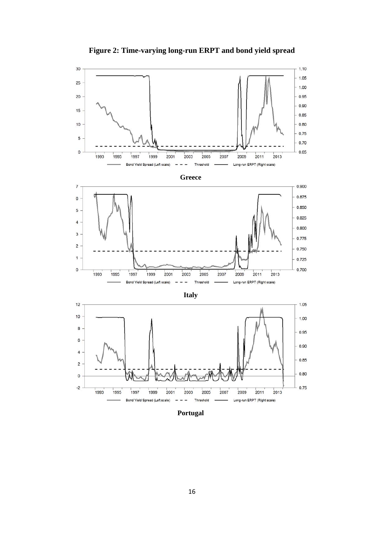

**Figure 2: Time-varying long-run ERPT and bond yield spread** 

**Portugal**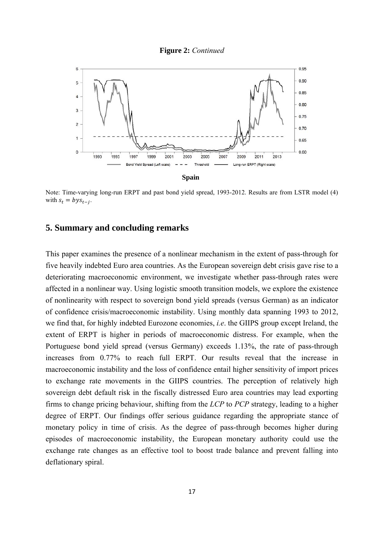



Note: Time-varying long-run ERPT and past bond yield spread, 1993-2012. Results are from LSTR model (4) with  $s_t = bys_{t-i}$ .

### **5. Summary and concluding remarks**

This paper examines the presence of a nonlinear mechanism in the extent of pass-through for five heavily indebted Euro area countries. As the European sovereign debt crisis gave rise to a deteriorating macroeconomic environment, we investigate whether pass-through rates were affected in a nonlinear way. Using logistic smooth transition models, we explore the existence of nonlinearity with respect to sovereign bond yield spreads (versus German) as an indicator of confidence crisis/macroeconomic instability. Using monthly data spanning 1993 to 2012, we find that, for highly indebted Eurozone economies, *i.e*. the GIIPS group except Ireland, the extent of ERPT is higher in periods of macroeconomic distress. For example, when the Portuguese bond yield spread (versus Germany) exceeds 1.13%, the rate of pass-through increases from 0.77% to reach full ERPT. Our results reveal that the increase in macroeconomic instability and the loss of confidence entail higher sensitivity of import prices to exchange rate movements in the GIIPS countries. The perception of relatively high sovereign debt default risk in the fiscally distressed Euro area countries may lead exporting firms to change pricing behaviour, shifting from the *LCP* to *PCP* strategy, leading to a higher degree of ERPT. Our findings offer serious guidance regarding the appropriate stance of monetary policy in time of crisis. As the degree of pass-through becomes higher during episodes of macroeconomic instability, the European monetary authority could use the exchange rate changes as an effective tool to boost trade balance and prevent falling into deflationary spiral.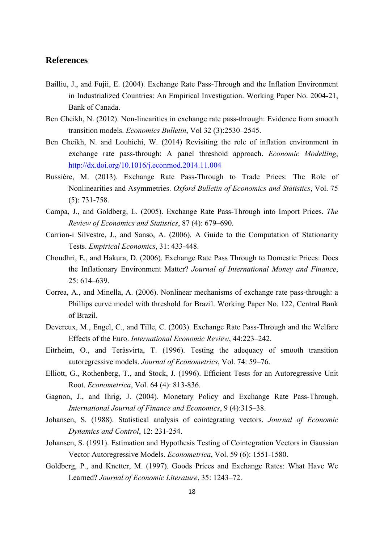### **References**

- Bailliu, J., and Fujii, E. (2004). Exchange Rate Pass-Through and the Inflation Environment in Industrialized Countries: An Empirical Investigation. Working Paper No. 2004-21, Bank of Canada.
- Ben Cheikh, N. (2012). Non-linearities in exchange rate pass-through: Evidence from smooth transition models. *Economics Bulletin*, Vol 32 (3):2530–2545.
- Ben Cheikh, N. and Louhichi, W. (2014) Revisiting the role of inflation environment in exchange rate pass-through: A panel threshold approach. *Economic Modelling*, http://dx.doi.org/10.1016/j.econmod.2014.11.004
- Bussière, M. (2013). Exchange Rate Pass-Through to Trade Prices: The Role of Nonlinearities and Asymmetries. *Oxford Bulletin of Economics and Statistics*, Vol. 75 (5): 731-758.
- Campa, J., and Goldberg, L. (2005). Exchange Rate Pass-Through into Import Prices. *The Review of Economics and Statistics*, 87 (4): 679–690.
- Carrion-i Silvestre, J., and Sanso, A. (2006). A Guide to the Computation of Stationarity Tests. *Empirical Economics*, 31: 433-448.
- Choudhri, E., and Hakura, D. (2006). Exchange Rate Pass Through to Domestic Prices: Does the Inflationary Environment Matter? *Journal of International Money and Finance*, 25: 614–639.
- Correa, A., and Minella, A. (2006). Nonlinear mechanisms of exchange rate pass-through: a Phillips curve model with threshold for Brazil. Working Paper No. 122, Central Bank of Brazil.
- Devereux, M., Engel, C., and Tille, C. (2003). Exchange Rate Pass-Through and the Welfare Effects of the Euro. *International Economic Review*, 44:223–242.
- Eitrheim, O., and Teräsvirta, T. (1996). Testing the adequacy of smooth transition autoregressive models. *Journal of Econometrics*, Vol. 74: 59–76.
- Elliott, G., Rothenberg, T., and Stock, J. (1996). Efficient Tests for an Autoregressive Unit Root. *Econometrica*, Vol. 64 (4): 813-836.
- Gagnon, J., and Ihrig, J. (2004). Monetary Policy and Exchange Rate Pass-Through. *International Journal of Finance and Economics*, 9 (4):315–38.
- Johansen, S. (1988). Statistical analysis of cointegrating vectors. *Journal of Economic Dynamics and Control*, 12: 231-254.
- Johansen, S. (1991). Estimation and Hypothesis Testing of Cointegration Vectors in Gaussian Vector Autoregressive Models. *Econometrica*, Vol. 59 (6): 1551-1580.
- Goldberg, P., and Knetter, M. (1997). Goods Prices and Exchange Rates: What Have We Learned? *Journal of Economic Literature*, 35: 1243–72.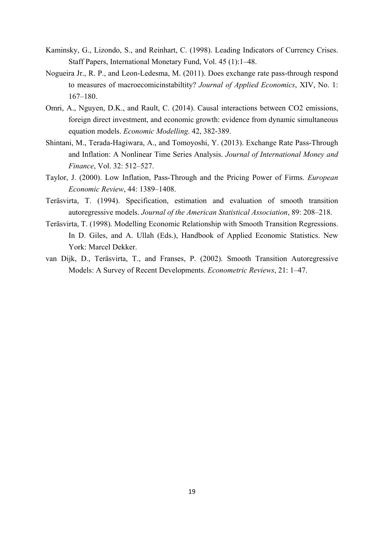- Kaminsky, G., Lizondo, S., and Reinhart, C. (1998). Leading Indicators of Currency Crises. Staff Papers, International Monetary Fund, Vol. 45 (1):1–48.
- Nogueira Jr., R. P., and Leon-Ledesma, M. (2011). Does exchange rate pass-through respond to measures of macroecomicinstabiltity? *Journal of Applied Economics*, XIV, No. 1: 167–180.
- Omri, A., Nguyen, D.K., and Rault, C. (2014). Causal interactions between CO2 emissions, foreign direct investment, and economic growth: evidence from dynamic simultaneous equation models. *Economic Modelling*. 42, 382-389.
- Shintani, M., Terada-Hagiwara, A., and Tomoyoshi, Y. (2013). Exchange Rate Pass-Through and Inflation: A Nonlinear Time Series Analysis. *Journal of International Money and Finance*, Vol. 32: 512–527.
- Taylor, J. (2000). Low Inflation, Pass-Through and the Pricing Power of Firms. *European Economic Review*, 44: 1389–1408.
- Teräsvirta, T. (1994). Specification, estimation and evaluation of smooth transition autoregressive models. *Journal of the American Statistical Association*, 89: 208–218.
- Teräsvirta, T. (1998). Modelling Economic Relationship with Smooth Transition Regressions. In D. Giles, and A. Ullah (Eds.), Handbook of Applied Economic Statistics. New York: Marcel Dekker.
- van Dijk, D., Teräsvirta, T., and Franses, P. (2002). Smooth Transition Autoregressive Models: A Survey of Recent Developments. *Econometric Reviews*, 21: 1–47.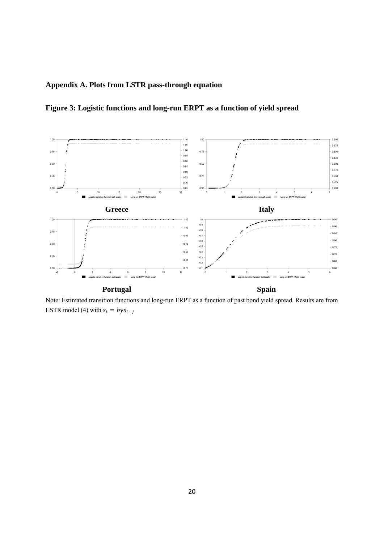# **Appendix A. Plots from LSTR pass-through equation**

**Figure 3: Logistic functions and long-run ERPT as a function of yield spread** 



Note: Estimated transition functions and long-run ERPT as a function of past bond yield spread. Results are from LSTR model (4) with  $s_t = bys_{t-i}$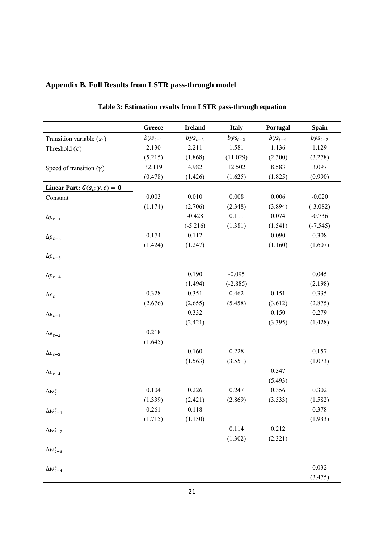|                                      | Greece      | <b>Ireland</b>   | <b>Italy</b>        | Portugal    | <b>Spain</b>     |
|--------------------------------------|-------------|------------------|---------------------|-------------|------------------|
| Transition variable $(s_t)$          | $bys_{t-1}$ | $bys_{t-2}$      | $bys_{t-2}$         | $bys_{t-4}$ | $bys_{t-2}$      |
| Threshold $(c)$                      | 2.130       | 2.211            | 1.581               | 1.136       | 1.129            |
|                                      | (5.215)     | (1.868)          | (11.029)            | (2.300)     | (3.278)          |
| Speed of transition $(\gamma)$       | 32.119      | 4.982            | 12.502              | 8.583       | 3.097            |
|                                      | (0.478)     | (1.426)          | (1.625)             | (1.825)     | (0.990)          |
| Linear Part: $G(s_t; \gamma, c) = 0$ |             |                  |                     |             |                  |
| Constant                             | 0.003       | 0.010            | 0.008               | 0.006       | $-0.020$         |
|                                      | (1.174)     | (2.706)          | (2.348)             | (3.894)     | $(-3.082)$       |
| $\Delta p_{t-1}$                     |             | $-0.428$         | 0.111               | 0.074       | $-0.736$         |
|                                      |             | $(-5.216)$       | (1.381)             | (1.541)     | $(-7.545)$       |
| $\Delta p_{t-2}$                     | 0.174       | 0.112            |                     | 0.090       | 0.308            |
|                                      | (1.424)     | (1.247)          |                     | (1.160)     | (1.607)          |
| $\Delta p_{t-3}$                     |             |                  |                     |             |                  |
|                                      |             |                  |                     |             |                  |
| $\Delta p_{t-4}$                     |             | 0.190            | $-0.095$            |             | 0.045            |
|                                      | 0.328       | (1.494)<br>0.351 | $(-2.885)$<br>0.462 | 0.151       | (2.198)<br>0.335 |
| $\Delta e_t$                         | (2.676)     |                  | (5.458)             | (3.612)     | (2.875)          |
|                                      |             | (2.655)<br>0.332 |                     | 0.150       | 0.279            |
| $\Delta e_{t-1}$                     |             | (2.421)          |                     | (3.395)     | (1.428)          |
|                                      | 0.218       |                  |                     |             |                  |
| $\Delta e_{t-2}$                     | (1.645)     |                  |                     |             |                  |
|                                      |             | 0.160            | 0.228               |             | 0.157            |
| $\Delta e_{t-3}$                     |             | (1.563)          | (3.551)             |             | (1.073)          |
|                                      |             |                  |                     | 0.347       |                  |
| $\Delta e_{t-4}$                     |             |                  |                     | (5.493)     |                  |
| $\Delta w_t^*$                       | 0.104       | 0.226            | 0.247               | 0.356       | 0.302            |
|                                      | (1.339)     | (2.421)          | (2.869)             | (3.533)     | (1.582)          |
| $\Delta w_{t-1}^*$                   | 0.261       | 0.118            |                     |             | 0.378            |
|                                      | (1.715)     | (1.130)          |                     |             | (1.933)          |
| $\Delta w_{t-2}^*$                   |             |                  | 0.114               | 0.212       |                  |
|                                      |             |                  | (1.302)             | (2.321)     |                  |
| $\Delta w_{t-3}^*$                   |             |                  |                     |             |                  |
| $\Delta w_{t-4}^*$                   |             |                  |                     |             |                  |
|                                      |             |                  |                     |             | 0.032            |

**Table 3: Estimation results from LSTR pass-through equation** 

### **Appendix B. Full Results from LSTR pass-through model**